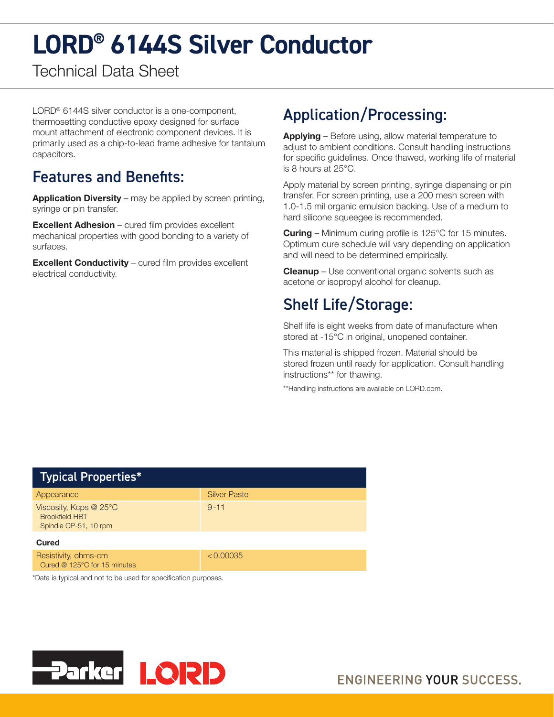# **LORD® 6144S Silver Conductor**

Technical Data Sheet

LORD® 6144S silver conductor is a one-component, thermosetting conductive epoxy designed for surface mount attachment of electronic component devices. It is primarily used as a chip-to-lead frame adhesive for tantalum capacitors.

#### Features and Benefits:

**Application Diversity** – may be applied by screen printing, syringe or pin transfer.

Excellent Adhesion – cured film provides excellent mechanical properties with good bonding to a variety of surfaces.

Excellent Conductivity – cured film provides excellent electrical conductivity.

## Application/Processing:

Applying - Before using, allow material temperature to adjust to ambient conditions. Consult handling instructions for specific guidelines. Once thawed, working life of material is 8 hours at 25°C.

Apply material by screen printing, syringe dispensing or pin transfer. For screen printing, use a 200 mesh screen with 1.0-1.5 mil organic emulsion backing. Use of a medium to hard silicone squeegee is recommended.

**Curing** – Minimum curing profile is 125°C for 15 minutes. Optimum cure schedule will vary depending on application and will need to be determined empirically.

**Cleanup** – Use conventional organic solvents such as acetone or isopropyl alcohol for cleanup.

### Shelf Life/Storage:

Shelf life is eight weeks from date of manufacture when stored at -15°C in original, unopened container.

This material is shipped frozen. Material should be stored frozen until ready for application. Consult handling instructions\*\* for thawing.

\*\*Handling instructions are available on LORD.com.

| <b>Typical Properties*</b>                                                       |                     |
|----------------------------------------------------------------------------------|---------------------|
| Appearance                                                                       | <b>Silver Paste</b> |
| Viscosity, Kcps $@25^{\circ}C$<br><b>Brookfield HBT</b><br>Spindle CP-51, 10 rpm | $9 - 11$            |
| Cured                                                                            |                     |
| Resistivity, ohms-cm<br>Cured @ 125°C for 15 minutes                             | < 0.00035           |
| Deta is tupical and not to be used for epocification purposes                    |                     |

Data is typical and not to be used for specification purposes.